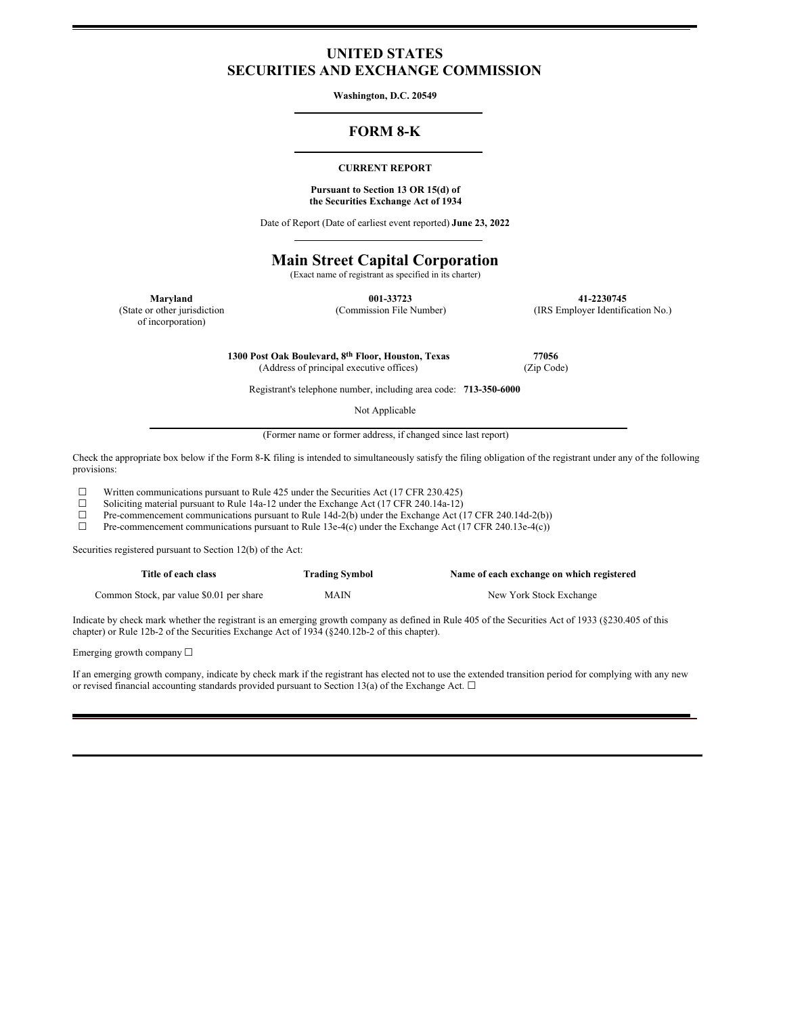## **UNITED STATES SECURITIES AND EXCHANGE COMMISSION**

**Washington, D.C. 20549**

## **FORM 8-K**

### **CURRENT REPORT**

### **Pursuant to Section 13 OR 15(d) of the Securities Exchange Act of 1934**

Date of Report (Date of earliest event reported) **June 23, 2022**

# **Main Street Capital Corporation**

(Exact name of registrant as specified in its charter)

(State or other jurisdiction

of incorporation)

**Maryland 001-33723 41-2230745** (Commission File Number) (IRS Employer Identification No.)

**1300 Post Oak Boulevard, 8th Floor, Houston, Texas 77056**

(Address of principal executive offices) (Zip Code)

Registrant's telephone number, including area code: **713-350-6000**

Not Applicable

(Former name or former address, if changed since last report)

Check the appropriate box below if the Form 8-K filing is intended to simultaneously satisfy the filing obligation of the registrant under any of the following provisions:

☐ Written communications pursuant to Rule 425 under the Securities Act (17 CFR 230.425)

□ Soliciting material pursuant to Rule 14a-12 under the Exchange Act (17 CFR 240.14a-12) <br>Pre-commencement communications pursuant to Rule 14d-2(b) under the Exchange Act (1

 $□$  Pre-commencement communications pursuant to Rule 14d-2(b) under the Exchange Act (17 CFR 240.14d-2(b))  $□$  Pre-commencement communications pursuant to Rule 13e-4(c) under the Exchange Act (17 CFR 240.13e-4(c))

Pre-commencement communications pursuant to Rule 13e-4(c) under the Exchange Act (17 CFR 240.13e-4(c))

Securities registered pursuant to Section 12(b) of the Act:

| Title of each class                      | <b>Trading Symbol</b> | Name of each exchange on which registered |
|------------------------------------------|-----------------------|-------------------------------------------|
| Common Stock, par value \$0.01 per share | <b>MAIN</b>           | New York Stock Exchange                   |

Indicate by check mark whether the registrant is an emerging growth company as defined in Rule 405 of the Securities Act of 1933 (§230.405 of this chapter) or Rule 12b-2 of the Securities Exchange Act of 1934 (§240.12b-2 of this chapter).

Emerging growth company  $\Box$ 

If an emerging growth company, indicate by check mark if the registrant has elected not to use the extended transition period for complying with any new or revised financial accounting standards provided pursuant to Section 13(a) of the Exchange Act.  $\Box$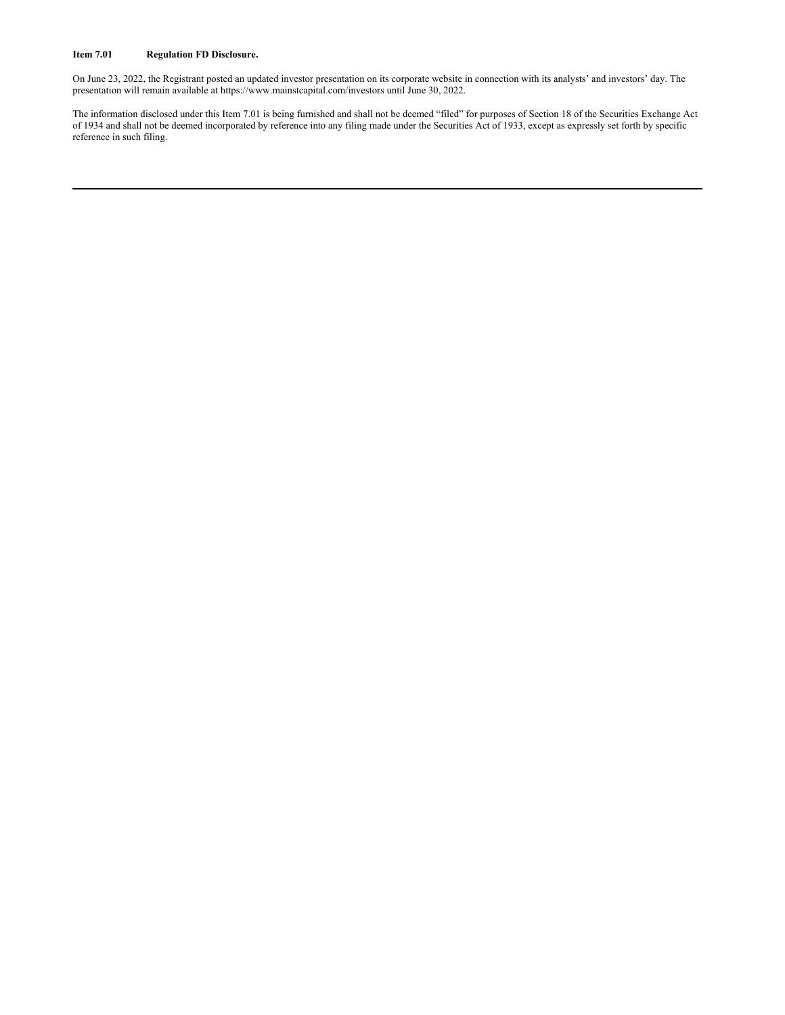### **Item 7.01 Regulation FD Disclosure.**

On June 23, 2022, the Registrant posted an updated investor presentation on its corporate website in connection with its analysts' and investors' day. The presentation will remain available at https://www.mainstcapital.com/investors until June 30, 2022.

The information disclosed under this Item 7.01 is being furnished and shall not be deemed "filed" for purposes of Section 18 of the Securities Exchange Act of 1934 and shall not be deemed incorporated by reference into any filing made under the Securities Act of 1933, except as expressly set forth by specific reference in such filing.